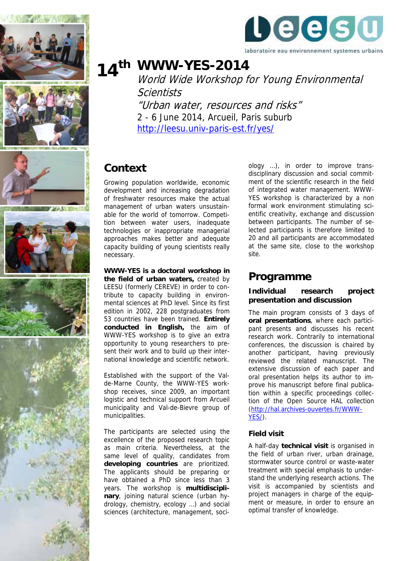











# **WWW-YES-2014 14th**

World Wide Workshop for Young Environmental **Scientists** "Urban water, resources and risks"

2 - 6 June 2014, Arcueil, Paris suburb <http://leesu.univ-paris-est.fr/yes/>

# **Context**

Growing population worldwide, economic development and increasing degradation of freshwater resources make the actual management of urban waters unsustainable for the world of tomorrow. Competition between water users, inadequate technologies or inappropriate managerial approaches makes better and adequate capacity building of young scientists really necessary.

**WWW-YES is a doctoral workshop in the field of urban waters,** created by LEESU (formerly CEREVE) in order to contribute to capacity building in environmental sciences at PhD level. Since its first edition in 2002, 228 postgraduates from 53 countries have been trained. **Entirely conducted in English,** the aim of WWW-YES workshop is to give an extra opportunity to young researchers to present their work and to build up their international knowledge and scientific network.

Established with the support of the Valde-Marne County, the WWW-YES workshop receives, since 2009, an important logistic and technical support from Arcueil municipality and Val-de-Bievre group of municipalities.

The participants are selected using the excellence of the proposed research topic as main criteria. Nevertheless, at the same level of quality, candidates from **developing countries** are prioritized. The applicants should be preparing or have obtained a PhD since less than 3 years. The workshop is **multidisciplinary**, joining natural science (urban hydrology, chemistry, ecology …) and social sciences (architecture, management, soci-

ology …), in order to improve transdisciplinary discussion and social commitment of the scientific research in the field of integrated water management. WWW-YES workshop is characterized by a non formal work environment stimulating scientific creativity, exchange and discussion between participants. The number of selected participants is therefore limited to 20 and all participants are accommodated at the same site, close to the workshop site.

## **Programme**

### **Individual research project presentation and discussion**

The main program consists of 3 days of **oral presentations**, where each participant presents and discusses his recent research work. Contrarily to international conferences, the discussion is chaired by another participant, having previously reviewed the related manuscript. The extensive discussion of each paper and oral presentation helps its author to improve his manuscript before final publication within a specific proceedings collection of the Open Source HAL collection ([http://hal.archives-ouvertes.fr/WWW-](http://hal.archives-ouvertes.fr/WWW-YES/)[YES/\)](http://hal.archives-ouvertes.fr/WWW-YES/).

#### **Field visit**

A half-day **technical visit** is organised in the field of urban river, urban drainage, stormwater source control or waste-water treatment with special emphasis to understand the underlying research actions. The visit is accompanied by scientists and project managers in charge of the equipment or measure, in order to ensure an optimal transfer of knowledge.